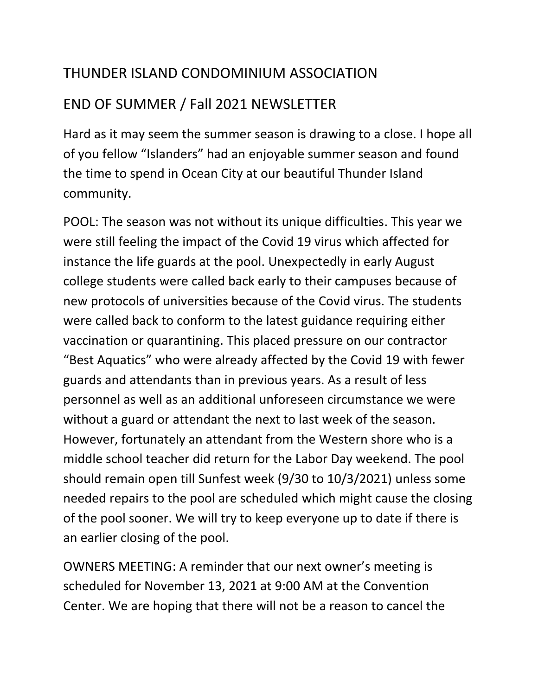## THUNDER ISLAND CONDOMINIUM ASSOCIATION

## END OF SUMMER / Fall 2021 NEWSLETTER

Hard as it may seem the summer season is drawing to a close. I hope all of you fellow "Islanders" had an enjoyable summer season and found the time to spend in Ocean City at our beautiful Thunder Island community.

POOL: The season was not without its unique difficulties. This year we were still feeling the impact of the Covid 19 virus which affected for instance the life guards at the pool. Unexpectedly in early August college students were called back early to their campuses because of new protocols of universities because of the Covid virus. The students were called back to conform to the latest guidance requiring either vaccination or quarantining. This placed pressure on our contractor "Best Aquatics" who were already affected by the Covid 19 with fewer guards and attendants than in previous years. As a result of less personnel as well as an additional unforeseen circumstance we were without a guard or attendant the next to last week of the season. However, fortunately an attendant from the Western shore who is a middle school teacher did return for the Labor Day weekend. The pool should remain open till Sunfest week (9/30 to 10/3/2021) unless some needed repairs to the pool are scheduled which might cause the closing of the pool sooner. We will try to keep everyone up to date if there is an earlier closing of the pool.

OWNERS MEETING: A reminder that our next owner's meeting is scheduled for November 13, 2021 at 9:00 AM at the Convention Center. We are hoping that there will not be a reason to cancel the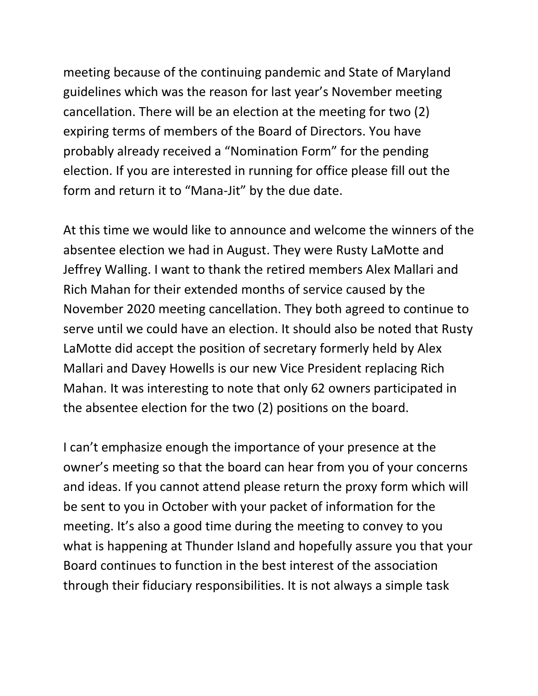meeting because of the continuing pandemic and State of Maryland guidelines which was the reason for last year's November meeting cancellation. There will be an election at the meeting for two (2) expiring terms of members of the Board of Directors. You have probably already received a "Nomination Form" for the pending election. If you are interested in running for office please fill out the form and return it to "Mana-Jit" by the due date.

At this time we would like to announce and welcome the winners of the absentee election we had in August. They were Rusty LaMotte and Jeffrey Walling. I want to thank the retired members Alex Mallari and Rich Mahan for their extended months of service caused by the November 2020 meeting cancellation. They both agreed to continue to serve until we could have an election. It should also be noted that Rusty LaMotte did accept the position of secretary formerly held by Alex Mallari and Davey Howells is our new Vice President replacing Rich Mahan. It was interesting to note that only 62 owners participated in the absentee election for the two (2) positions on the board.

I can't emphasize enough the importance of your presence at the owner's meeting so that the board can hear from you of your concerns and ideas. If you cannot attend please return the proxy form which will be sent to you in October with your packet of information for the meeting. It's also a good time during the meeting to convey to you what is happening at Thunder Island and hopefully assure you that your Board continues to function in the best interest of the association through their fiduciary responsibilities. It is not always a simple task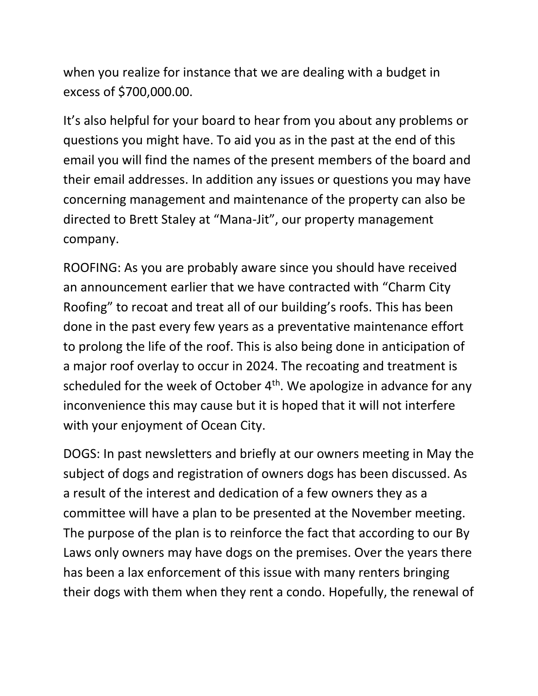when you realize for instance that we are dealing with a budget in excess of \$700,000.00.

It's also helpful for your board to hear from you about any problems or questions you might have. To aid you as in the past at the end of this email you will find the names of the present members of the board and their email addresses. In addition any issues or questions you may have concerning management and maintenance of the property can also be directed to Brett Staley at "Mana-Jit", our property management company.

ROOFING: As you are probably aware since you should have received an announcement earlier that we have contracted with "Charm City Roofing" to recoat and treat all of our building's roofs. This has been done in the past every few years as a preventative maintenance effort to prolong the life of the roof. This is also being done in anticipation of a major roof overlay to occur in 2024. The recoating and treatment is scheduled for the week of October  $4<sup>th</sup>$ . We apologize in advance for any inconvenience this may cause but it is hoped that it will not interfere with your enjoyment of Ocean City.

DOGS: In past newsletters and briefly at our owners meeting in May the subject of dogs and registration of owners dogs has been discussed. As a result of the interest and dedication of a few owners they as a committee will have a plan to be presented at the November meeting. The purpose of the plan is to reinforce the fact that according to our By Laws only owners may have dogs on the premises. Over the years there has been a lax enforcement of this issue with many renters bringing their dogs with them when they rent a condo. Hopefully, the renewal of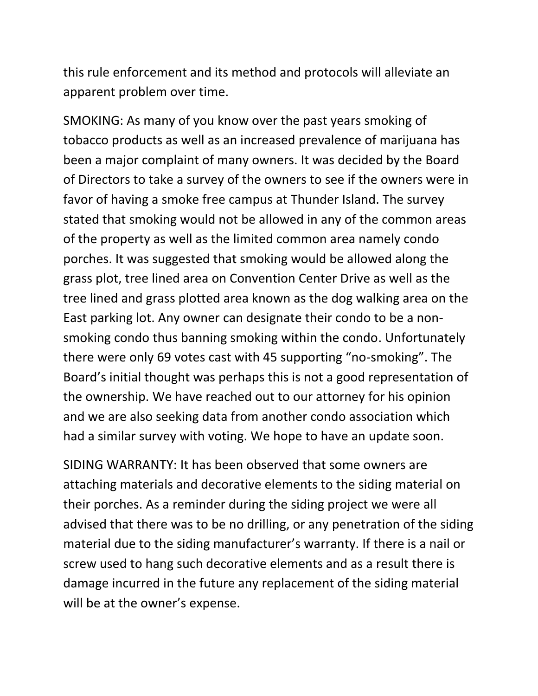this rule enforcement and its method and protocols will alleviate an apparent problem over time.

SMOKING: As many of you know over the past years smoking of tobacco products as well as an increased prevalence of marijuana has been a major complaint of many owners. It was decided by the Board of Directors to take a survey of the owners to see if the owners were in favor of having a smoke free campus at Thunder Island. The survey stated that smoking would not be allowed in any of the common areas of the property as well as the limited common area namely condo porches. It was suggested that smoking would be allowed along the grass plot, tree lined area on Convention Center Drive as well as the tree lined and grass plotted area known as the dog walking area on the East parking lot. Any owner can designate their condo to be a nonsmoking condo thus banning smoking within the condo. Unfortunately there were only 69 votes cast with 45 supporting "no-smoking". The Board's initial thought was perhaps this is not a good representation of the ownership. We have reached out to our attorney for his opinion and we are also seeking data from another condo association which had a similar survey with voting. We hope to have an update soon.

SIDING WARRANTY: It has been observed that some owners are attaching materials and decorative elements to the siding material on their porches. As a reminder during the siding project we were all advised that there was to be no drilling, or any penetration of the siding material due to the siding manufacturer's warranty. If there is a nail or screw used to hang such decorative elements and as a result there is damage incurred in the future any replacement of the siding material will be at the owner's expense.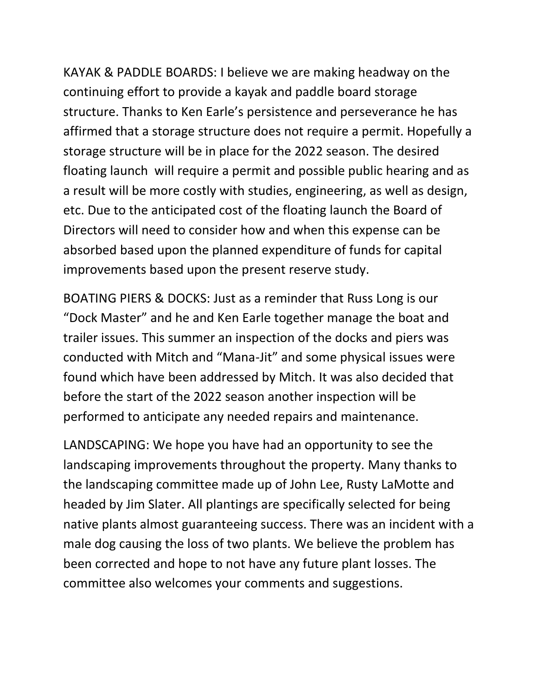KAYAK & PADDLE BOARDS: I believe we are making headway on the continuing effort to provide a kayak and paddle board storage structure. Thanks to Ken Earle's persistence and perseverance he has affirmed that a storage structure does not require a permit. Hopefully a storage structure will be in place for the 2022 season. The desired floating launch will require a permit and possible public hearing and as a result will be more costly with studies, engineering, as well as design, etc. Due to the anticipated cost of the floating launch the Board of Directors will need to consider how and when this expense can be absorbed based upon the planned expenditure of funds for capital improvements based upon the present reserve study.

BOATING PIERS & DOCKS: Just as a reminder that Russ Long is our "Dock Master" and he and Ken Earle together manage the boat and trailer issues. This summer an inspection of the docks and piers was conducted with Mitch and "Mana-Jit" and some physical issues were found which have been addressed by Mitch. It was also decided that before the start of the 2022 season another inspection will be performed to anticipate any needed repairs and maintenance.

LANDSCAPING: We hope you have had an opportunity to see the landscaping improvements throughout the property. Many thanks to the landscaping committee made up of John Lee, Rusty LaMotte and headed by Jim Slater. All plantings are specifically selected for being native plants almost guaranteeing success. There was an incident with a male dog causing the loss of two plants. We believe the problem has been corrected and hope to not have any future plant losses. The committee also welcomes your comments and suggestions.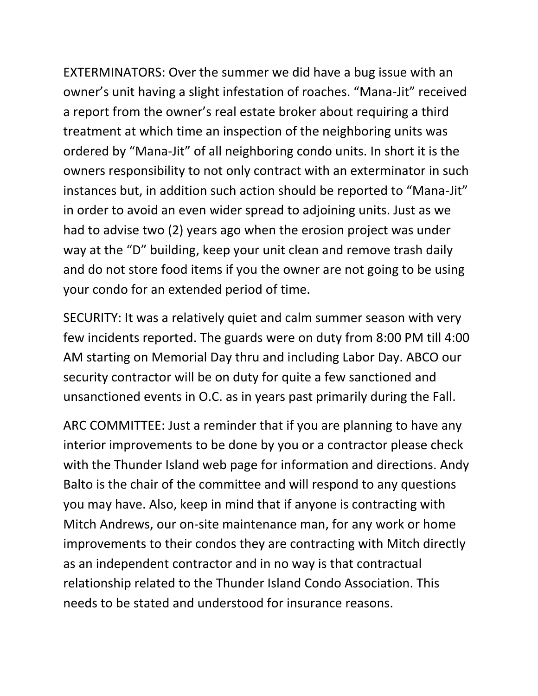EXTERMINATORS: Over the summer we did have a bug issue with an owner's unit having a slight infestation of roaches. "Mana-Jit" received a report from the owner's real estate broker about requiring a third treatment at which time an inspection of the neighboring units was ordered by "Mana-Jit" of all neighboring condo units. In short it is the owners responsibility to not only contract with an exterminator in such instances but, in addition such action should be reported to "Mana-Jit" in order to avoid an even wider spread to adjoining units. Just as we had to advise two (2) years ago when the erosion project was under way at the "D" building, keep your unit clean and remove trash daily and do not store food items if you the owner are not going to be using your condo for an extended period of time.

SECURITY: It was a relatively quiet and calm summer season with very few incidents reported. The guards were on duty from 8:00 PM till 4:00 AM starting on Memorial Day thru and including Labor Day. ABCO our security contractor will be on duty for quite a few sanctioned and unsanctioned events in O.C. as in years past primarily during the Fall.

ARC COMMITTEE: Just a reminder that if you are planning to have any interior improvements to be done by you or a contractor please check with the Thunder Island web page for information and directions. Andy Balto is the chair of the committee and will respond to any questions you may have. Also, keep in mind that if anyone is contracting with Mitch Andrews, our on-site maintenance man, for any work or home improvements to their condos they are contracting with Mitch directly as an independent contractor and in no way is that contractual relationship related to the Thunder Island Condo Association. This needs to be stated and understood for insurance reasons.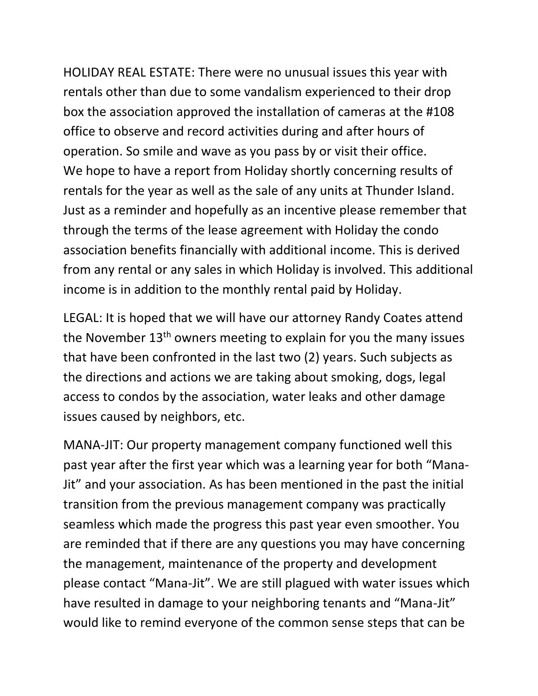HOLIDAY REAL ESTATE: There were no unusual issues this year with rentals other than due to some vandalism experienced to their drop box the association approved the installation of cameras at the #108 office to observe and record activities during and after hours of operation. So smile and wave as you pass by or visit their office. We hope to have a report from Holiday shortly concerning results of rentals for the year as well as the sale of any units at Thunder Island. Just as a reminder and hopefully as an incentive please remember that through the terms of the lease agreement with Holiday the condo association benefits financially with additional income. This is derived from any rental or any sales in which Holiday is involved. This additional income is in addition to the monthly rental paid by Holiday.

LEGAL: It is hoped that we will have our attorney Randy Coates attend the November 13<sup>th</sup> owners meeting to explain for you the many issues that have been confronted in the last two (2) years. Such subjects as the directions and actions we are taking about smoking, dogs, legal access to condos by the association, water leaks and other damage issues caused by neighbors, etc.

MANA-JIT: Our property management company functioned well this past year after the first year which was a learning year for both "Mana-Jit" and your association. As has been mentioned in the past the initial transition from the previous management company was practically seamless which made the progress this past year even smoother. You are reminded that if there are any questions you may have concerning the management, maintenance of the property and development please contact "Mana-Jit". We are still plagued with water issues which have resulted in damage to your neighboring tenants and "Mana-Jit" would like to remind everyone of the common sense steps that can be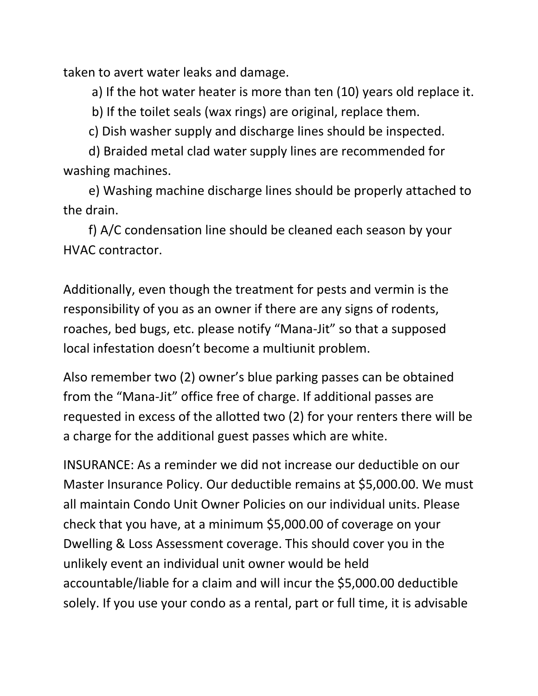taken to avert water leaks and damage.

a) If the hot water heater is more than ten (10) years old replace it.

b) If the toilet seals (wax rings) are original, replace them.

c) Dish washer supply and discharge lines should be inspected.

 d) Braided metal clad water supply lines are recommended for washing machines.

 e) Washing machine discharge lines should be properly attached to the drain.

 f) A/C condensation line should be cleaned each season by your HVAC contractor.

Additionally, even though the treatment for pests and vermin is the responsibility of you as an owner if there are any signs of rodents, roaches, bed bugs, etc. please notify "Mana-Jit" so that a supposed local infestation doesn't become a multiunit problem.

Also remember two (2) owner's blue parking passes can be obtained from the "Mana-Jit" office free of charge. If additional passes are requested in excess of the allotted two (2) for your renters there will be a charge for the additional guest passes which are white.

INSURANCE: As a reminder we did not increase our deductible on our Master Insurance Policy. Our deductible remains at \$5,000.00. We must all maintain Condo Unit Owner Policies on our individual units. Please check that you have, at a minimum \$5,000.00 of coverage on your Dwelling & Loss Assessment coverage. This should cover you in the unlikely event an individual unit owner would be held accountable/liable for a claim and will incur the \$5,000.00 deductible solely. If you use your condo as a rental, part or full time, it is advisable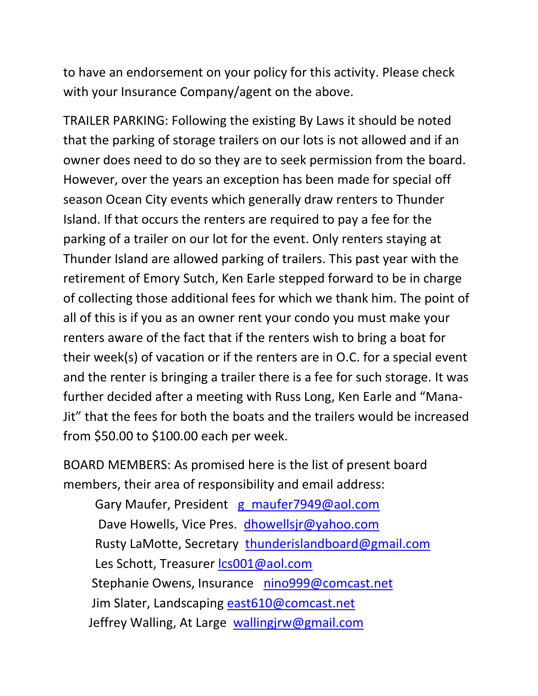to have an endorsement on your policy for this activity. Please check with your Insurance Company/agent on the above.

TRAILER PARKING: Following the existing By Laws it should be noted that the parking of storage trailers on our lots is not allowed and if an owner does need to do so they are to seek permission from the board. However, over the years an exception has been made for special off season Ocean City events which generally draw renters to Thunder Island. If that occurs the renters are required to pay a fee for the parking of a trailer on our lot for the event. Only renters staying at Thunder Island are allowed parking of trailers. This past year with the retirement of Emory Sutch, Ken Earle stepped forward to be in charge of collecting those additional fees for which we thank him. The point of all of this is if you as an owner rent your condo you must make your renters aware of the fact that if the renters wish to bring a boat for their week(s) of vacation or if the renters are in O.C. for a special event and the renter is bringing a trailer there is a fee for such storage. It was further decided after a meeting with Russ Long, Ken Earle and "Mana-Jit" that the fees for both the boats and the trailers would be increased from \$50.00 to \$100.00 each per week.

BOARD MEMBERS: As promised here is the list of present board members, their area of responsibility and email address:

Gary Maufer, President [g\\_maufer7949@aol.com](mailto:g_maufer7949@aol.com) Dave Howells, Vice Pres. [dhowellsjr@yahoo.com](mailto:dhowelljr@yahoo.com) Rusty LaMotte, Secretary [thunderislandboard@gmail.com](mailto:thunderislandboard@gmail.com) Les Schott, Treasurer [lcs001@aol.com](mailto:lcs001@aol.com) Stephanie Owens, Insurance [nino999@comcast.net](mailto:nino999@comcast.net) Jim Slater, Landscaping [east610@comcast.net](mailto:wast610@concast.net) Jeffrey Walling, At Large [wallingjrw@gmail.com](mailto:wallingjrw@gmail.com)